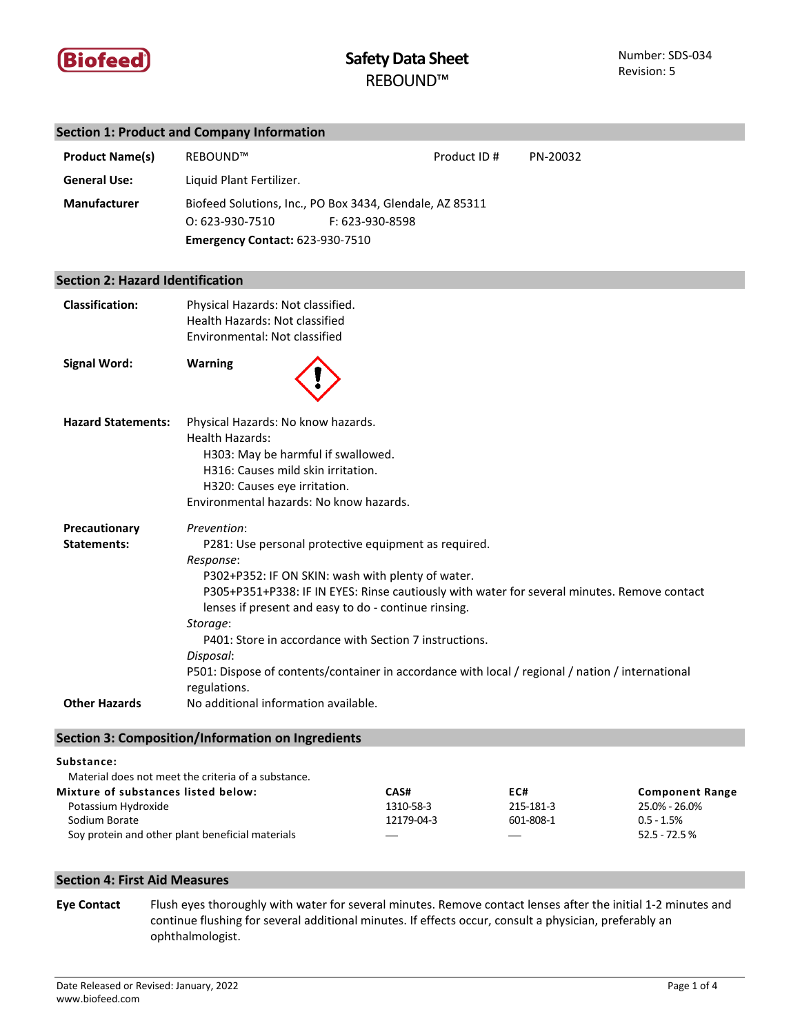

# **Section 1: Product and Company Information**

| <b>Product Name(s)</b>                  | REBOUND™                                                                                                                                                                                                                                                                                                                                                                                                                                                                                            | Product ID# | PN-20032 |
|-----------------------------------------|-----------------------------------------------------------------------------------------------------------------------------------------------------------------------------------------------------------------------------------------------------------------------------------------------------------------------------------------------------------------------------------------------------------------------------------------------------------------------------------------------------|-------------|----------|
| <b>General Use:</b>                     | Liquid Plant Fertilizer.                                                                                                                                                                                                                                                                                                                                                                                                                                                                            |             |          |
| Manufacturer                            | Biofeed Solutions, Inc., PO Box 3434, Glendale, AZ 85311<br>0:623-930-7510<br>F: 623-930-8598<br><b>Emergency Contact: 623-930-7510</b>                                                                                                                                                                                                                                                                                                                                                             |             |          |
| <b>Section 2: Hazard Identification</b> |                                                                                                                                                                                                                                                                                                                                                                                                                                                                                                     |             |          |
| <b>Classification:</b>                  | Physical Hazards: Not classified.<br>Health Hazards: Not classified<br>Environmental: Not classified                                                                                                                                                                                                                                                                                                                                                                                                |             |          |
| <b>Signal Word:</b>                     | <b>Warning</b>                                                                                                                                                                                                                                                                                                                                                                                                                                                                                      |             |          |
| <b>Hazard Statements:</b>               | Physical Hazards: No know hazards.<br><b>Health Hazards:</b><br>H303: May be harmful if swallowed.<br>H316: Causes mild skin irritation.<br>H320: Causes eye irritation.<br>Environmental hazards: No know hazards.                                                                                                                                                                                                                                                                                 |             |          |
| Precautionary<br><b>Statements:</b>     | Prevention:<br>P281: Use personal protective equipment as required.<br>Response:<br>P302+P352: IF ON SKIN: wash with plenty of water.<br>P305+P351+P338: IF IN EYES: Rinse cautiously with water for several minutes. Remove contact<br>lenses if present and easy to do - continue rinsing.<br>Storage:<br>P401: Store in accordance with Section 7 instructions.<br>Disposal:<br>P501: Dispose of contents/container in accordance with local / regional / nation / international<br>regulations. |             |          |
| <b>Other Hazards</b>                    | No additional information available.                                                                                                                                                                                                                                                                                                                                                                                                                                                                |             |          |

# **Section 3: Composition/Information on Ingredients**

### **Substance:**

| Material does not meet the criteria of a substance. |                               |                               |                        |
|-----------------------------------------------------|-------------------------------|-------------------------------|------------------------|
| Mixture of substances listed below:                 | CAS#                          | EC#                           | <b>Component Range</b> |
| Potassium Hydroxide                                 | 1310-58-3                     | 215-181-3                     | 25.0% - 26.0%          |
| Sodium Borate                                       | 12179-04-3                    | 601-808-1                     | $0.5 - 1.5%$           |
| Soy protein and other plant beneficial materials    | $\overbrace{\phantom{aaaaa}}$ | $\overbrace{\phantom{aaaaa}}$ | $52.5 - 72.5 \%$       |

# **Section 4: First Aid Measures**

**Eye Contact** Flush eyes thoroughly with water for several minutes. Remove contact lenses after the initial 1-2 minutes and continue flushing for several additional minutes. If effects occur, consult a physician, preferably an ophthalmologist.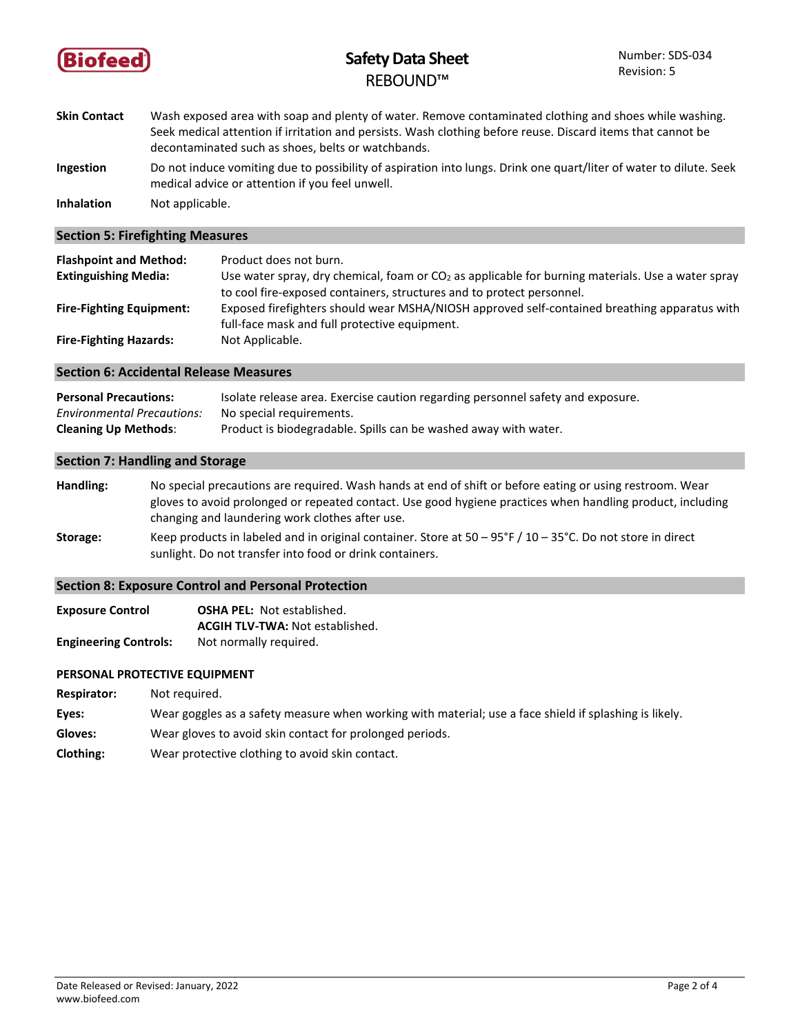

# **Safety Data Sheet** REBOUND™

- **Skin Contact** Wash exposed area with soap and plenty of water. Remove contaminated clothing and shoes while washing. Seek medical attention if irritation and persists. Wash clothing before reuse. Discard items that cannot be decontaminated such as shoes, belts or watchbands. **Ingestion** Do not induce vomiting due to possibility of aspiration into lungs. Drink one quart/liter of water to dilute. Seek
- medical advice or attention if you feel unwell.

**Inhalation** Not applicable.

**Section 5: Firefighting Measures**

| <b>Flashpoint and Method:</b>   | Product does not burn.                                                                              |
|---------------------------------|-----------------------------------------------------------------------------------------------------|
| <b>Extinguishing Media:</b>     | Use water spray, dry chemical, foam or $CO2$ as applicable for burning materials. Use a water spray |
|                                 | to cool fire-exposed containers, structures and to protect personnel.                               |
| <b>Fire-Fighting Equipment:</b> | Exposed firefighters should wear MSHA/NIOSH approved self-contained breathing apparatus with        |
|                                 | full-face mask and full protective equipment.                                                       |
| <b>Fire-Fighting Hazards:</b>   | Not Applicable.                                                                                     |

### **Section 6: Accidental Release Measures**

| <b>Personal Precautions:</b>      | Isolate release area. Exercise caution regarding personnel safety and exposure. |
|-----------------------------------|---------------------------------------------------------------------------------|
| <b>Environmental Precautions:</b> | No special requirements.                                                        |
| <b>Cleaning Up Methods:</b>       | Product is biodegradable. Spills can be washed away with water.                 |

### **Section 7: Handling and Storage**

- **Handling:** No special precautions are required. Wash hands at end of shift or before eating or using restroom. Wear gloves to avoid prolonged or repeated contact. Use good hygiene practices when handling product, including changing and laundering work clothes after use.
- **Storage:** Keep products in labeled and in original container. Store at 50 95°F / 10 35°C. Do not store in direct sunlight. Do not transfer into food or drink containers.

# **Section 8: Exposure Control and Personal Protection**

| <b>Exposure Control</b>      | <b>OSHA PEL: Not established.</b>      |
|------------------------------|----------------------------------------|
|                              | <b>ACGIH TLV-TWA: Not established.</b> |
| <b>Engineering Controls:</b> | Not normally required.                 |

# **PERSONAL PROTECTIVE EQUIPMENT**

- **Respirator:** Not required.
- **Eyes:** Wear goggles as a safety measure when working with material; use a face shield if splashing is likely.
- **Gloves:** Wear gloves to avoid skin contact for prolonged periods.
- **Clothing:** Wear protective clothing to avoid skin contact.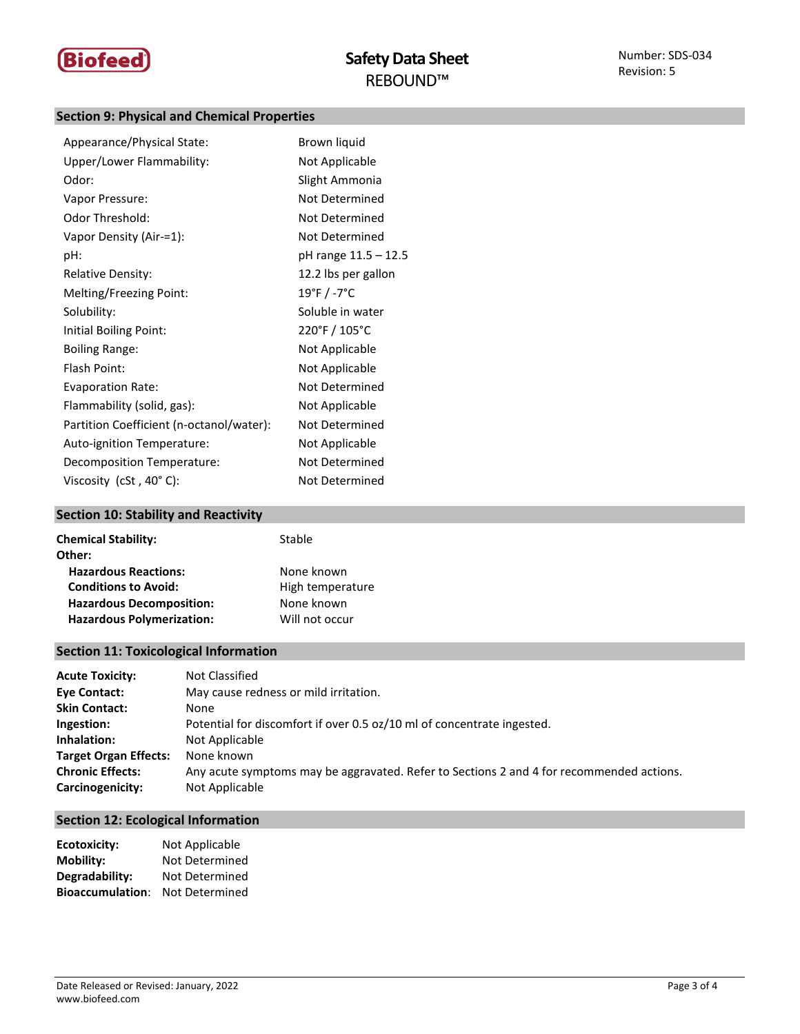

# **Section 9: Physical and Chemical Properties**

| Appearance/Physical State:               | Brown liquid         |
|------------------------------------------|----------------------|
| Upper/Lower Flammability:                | Not Applicable       |
| Odor:                                    | Slight Ammonia       |
| Vapor Pressure:                          | Not Determined       |
| Odor Threshold:                          | Not Determined       |
| Vapor Density (Air-=1):                  | Not Determined       |
| pH:                                      | pH range 11.5 - 12.5 |
| <b>Relative Density:</b>                 | 12.2 lbs per gallon  |
| Melting/Freezing Point:                  | 19°F / -7°C          |
| Solubility:                              | Soluble in water     |
| Initial Boiling Point:                   | 220°F / 105°C        |
| <b>Boiling Range:</b>                    | Not Applicable       |
| Flash Point:                             | Not Applicable       |
| <b>Evaporation Rate:</b>                 | Not Determined       |
| Flammability (solid, gas):               | Not Applicable       |
| Partition Coefficient (n-octanol/water): | Not Determined       |
| Auto-ignition Temperature:               | Not Applicable       |
| Decomposition Temperature:               | Not Determined       |
| Viscosity $(cSt, 40^{\circ} C)$ :        | Not Determined       |

# **Section 10: Stability and Reactivity**

| <b>Chemical Stability:</b><br>Other: | Stable           |
|--------------------------------------|------------------|
| <b>Hazardous Reactions:</b>          | None known       |
| <b>Conditions to Avoid:</b>          | High temperature |
| <b>Hazardous Decomposition:</b>      | None known       |
| <b>Hazardous Polymerization:</b>     | Will not occur   |

# **Section 11: Toxicological Information**

| <b>Acute Toxicity:</b>       | Not Classified                                                                           |
|------------------------------|------------------------------------------------------------------------------------------|
| Eye Contact:                 | May cause redness or mild irritation.                                                    |
| <b>Skin Contact:</b>         | None                                                                                     |
| Ingestion:                   | Potential for discomfort if over 0.5 oz/10 ml of concentrate ingested.                   |
| Inhalation:                  | Not Applicable                                                                           |
| <b>Target Organ Effects:</b> | None known                                                                               |
| <b>Chronic Effects:</b>      | Any acute symptoms may be aggravated. Refer to Sections 2 and 4 for recommended actions. |
| Carcinogenicity:             | Not Applicable                                                                           |

# **Section 12: Ecological Information**

| <b>Ecotoxicity:</b>     | Not Applicable |
|-------------------------|----------------|
| <b>Mobility:</b>        | Not Determined |
| Degradability:          | Not Determined |
| <b>Bioaccumulation:</b> | Not Determined |